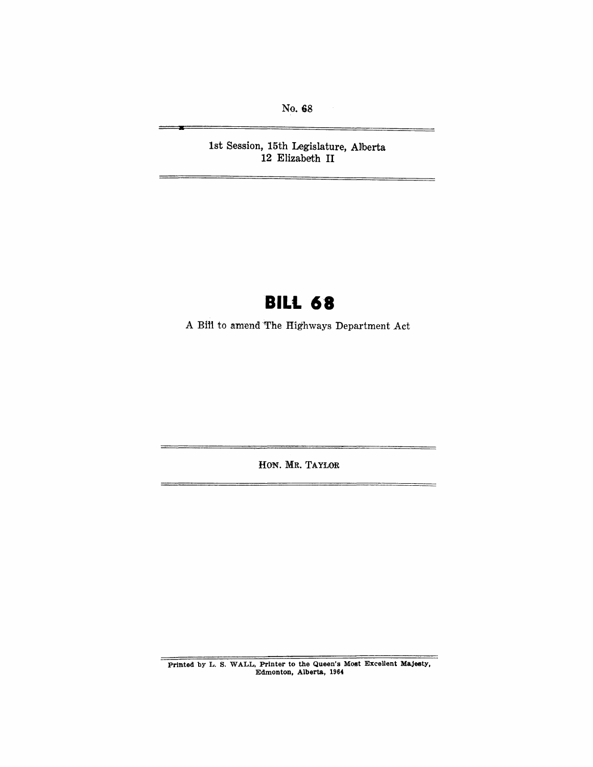No. 68

÷

**a** 

1st Session, 15th Legislature, Allberta **12** Elizabeth **II** 

# **BILL 68**

A Bill to amend The Highways Department Act

HON. MR. TAYLOR

Printed by L. S. WALL, Printer to the Queen's Most Excellent Majesty, Edmonton, Alberta, 1964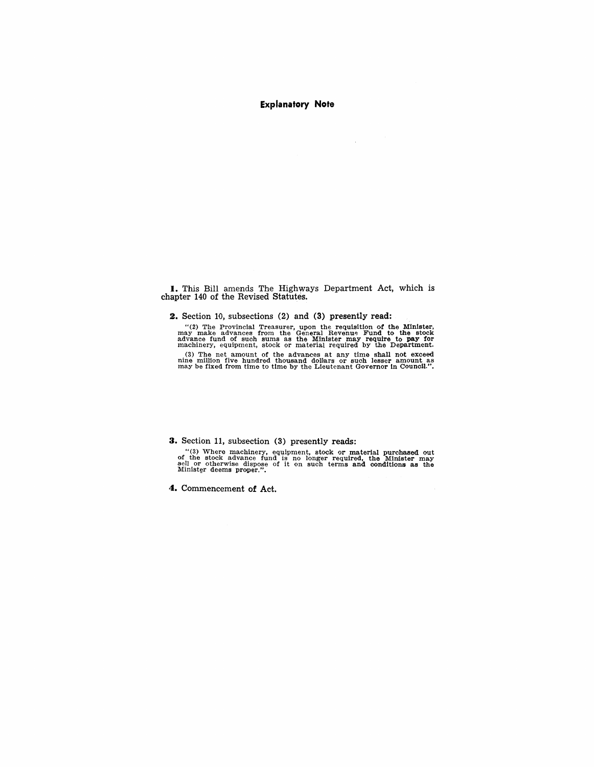#### **Explanatory Note**

 $\mathcal{L}^{\mathcal{L}}$ 

**I.** This Bill amends The Highways Department Act, which is chapter 140 of the Revised Statutes.

2. Section 10, subsections (2) and (3) presently read:

"(2) The Provincial Treasurer, upon the requisition of the Minister, may make advances from the General Revenue Fund to the stock advance fund of such sums as the Minister may require to pay for machinery, equipment, stoc

(3) The net amount of the advances at any time shall not exceed nine million five hundred thousand dollars or such lesser amount as may be fixed from time to time by the Lieutenant Governor in Council.".

#### **3.** Section 11, subsection (3) presently reads:

"(3) Where machinery, equipment, stock or material purchased out of the stock advance fund is no longer required, the Minister may sell or otherwise dispose of it on such terms and conditions as the Minister deems proper.

**4.** Commencement of Act.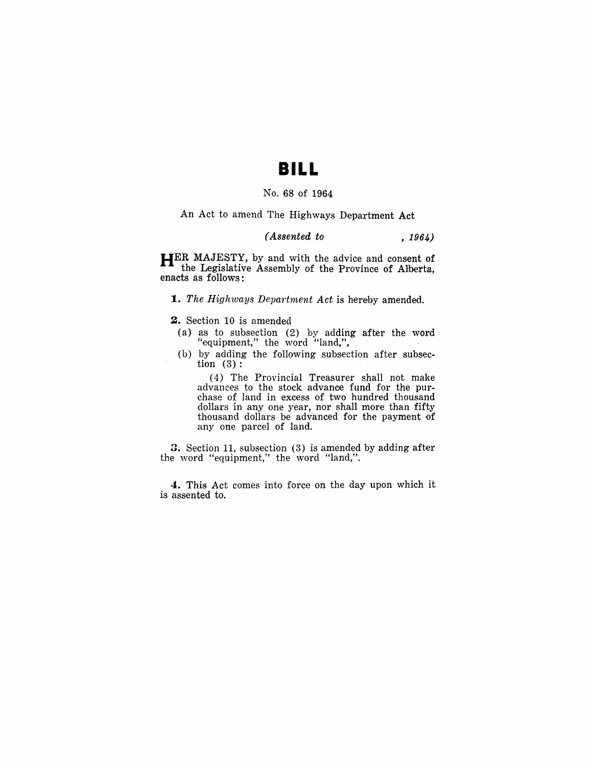### **BILL**

#### No. 68 of 1964

#### An Act to amend The Highways Department Act

#### *(Assented to* , 1964)

**HER** MAJESTY, by and with the advice and consent of the Legislative Assembly of the Province of Alherta, enacts as follows:

**1.** The Highways Department Act is hereby amended.

**2.** Section 10 is amended

- (a) as to subsection (2) by adding after the word "equipment," the word "land,",
- (b) by adding the following subsection after subsection (3):

(4) The Provincial Treasurer shall not make advances to the stock advance fund for the purchase of land in excess of two hundred thousand dollars in anyone year, nor shall more than fifty thousand dollars be advanced for the payment of anyone parcel of land.

3. Section 11, subsection (3) is amended by adding after the word "equipment," the word "land,".

4. This Act comes into force on the day upon which it is assented to.